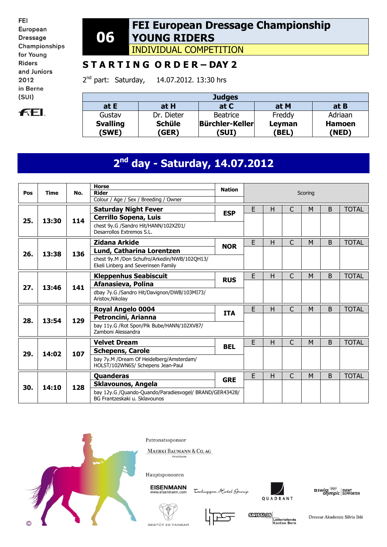FEI European **Dressage** Championships for Young **Riders** and Juniors 2012 in Berne  $(SUI)$ 



#### **06 FEI European Dressage Championship YOUNG RIDERS**

INDIVIDUAL COMPETITION

### **S T A R T I N G O R D E R – DAY 2**

2<sup>nd</sup> part: Saturday, 14.07.2012. 13:30 hrs

| <b>Judges</b>   |               |                 |        |               |  |  |  |  |  |  |
|-----------------|---------------|-----------------|--------|---------------|--|--|--|--|--|--|
| at E            | at H          | at C            | at M   | at B          |  |  |  |  |  |  |
| Gustav          | Dr. Dieter    | Beatrice        | Freddy | Adriaan       |  |  |  |  |  |  |
| <b>Svalling</b> | <b>Schüle</b> | Bürchler-Keller | Leyman | <b>Hamoen</b> |  |  |  |  |  |  |
| (SWE)           | (GER)         | (SUI)           | (BEL)  | 'NED)         |  |  |  |  |  |  |

# **2 nd day - Saturday, 14.07.2012**

|     |       |     | <b>Horse</b>                                                                             | <b>Nation</b> |                             |   |                |                  |        |              |  |  |  |
|-----|-------|-----|------------------------------------------------------------------------------------------|---------------|-----------------------------|---|----------------|------------------|--------|--------------|--|--|--|
| Pos | Time  | No. | <b>Rider</b>                                                                             |               |                             |   |                | Scoring          |        |              |  |  |  |
|     |       |     | Colour / Age / Sex / Breeding / Owner                                                    |               |                             |   |                |                  |        |              |  |  |  |
|     |       |     | <b>Saturday Night Fever</b>                                                              | <b>ESP</b>    | E                           | н | C<br>B<br>M    |                  |        | <b>TOTAL</b> |  |  |  |
| 25. | 13:30 | 114 | <b>Cerrillo Sopena, Luis</b>                                                             |               |                             |   |                | B<br>M<br>B<br>M |        |              |  |  |  |
|     |       |     | chest 9y.G /Sandro Hit/HANN/102XZ01/<br>Desarrollos Extremos S.L.                        |               |                             |   |                |                  |        |              |  |  |  |
|     |       |     | Zidana Arkide                                                                            |               | E                           | н | $\mathsf{C}$   |                  |        | <b>TOTAL</b> |  |  |  |
|     |       |     | Lund, Catharina Lorentzen                                                                | <b>NOR</b>    |                             |   |                |                  |        |              |  |  |  |
| 26. | 13:38 | 136 | chest 9y.M /Don Schufro/Arkedin/NWB/102OH13/<br>Ekeli Linberg and Severinsen Family      |               |                             |   |                |                  |        |              |  |  |  |
|     |       |     | <b>Kleppenhus Seabiscuit</b>                                                             | <b>RUS</b>    | E                           | H | $\overline{C}$ |                  |        | <b>TOTAL</b> |  |  |  |
| 27. | 13:46 | 141 | Afanasieva, Polina                                                                       |               |                             |   |                |                  |        |              |  |  |  |
|     |       |     | dbay 7y.G /Sandro Hit/Davignon/DWB/103MI73/<br>Aristov, Nikolay                          |               |                             |   |                |                  |        |              |  |  |  |
|     |       |     | Royal Angelo 0004                                                                        |               | E<br>$\mathsf{C}$<br>H<br>M |   |                |                  | B      | <b>TOTAL</b> |  |  |  |
| 28. | 13:54 | 129 | Petroncini, Arianna                                                                      | <b>ITA</b>    |                             |   |                |                  |        |              |  |  |  |
|     |       |     | bay 11y.G /Rot Spon/Pik Bube/HANN/102XV87/<br>Zamboni Alessandra                         |               |                             |   |                |                  |        |              |  |  |  |
|     |       |     | <b>Velvet Dream</b>                                                                      | <b>BEL</b>    | E                           | Н | $\mathsf{C}$   | M                | B      | <b>TOTAL</b> |  |  |  |
| 29. | 14:02 | 107 | <b>Schepens, Carole</b>                                                                  |               |                             |   |                |                  | B<br>M |              |  |  |  |
|     |       |     | bay 7y.M /Dream Of Heidelberg/Amsterdam/<br>HOLST/102WN65/ Schepens Jean-Paul            |               |                             |   |                |                  |        |              |  |  |  |
|     |       |     | <b>Quanderas</b>                                                                         |               | E                           | н | $\mathsf{C}$   |                  |        | <b>TOTAL</b> |  |  |  |
|     | 14:10 | 128 | Sklavounos, Angela                                                                       | <b>GRE</b>    |                             |   |                |                  |        |              |  |  |  |
| 30. |       |     | bay 12y.G /Quando-Quando/Paradiesvogel/ BRAND/GER43428/<br>BG Frantzeskaki u. Sklavounos |               |                             |   |                |                  |        |              |  |  |  |



Patronatssponsor

MAERKI BAUMANN & CO. AG PRIVATBANK



EISENMANN

Tschuggen Hotel Group







**GUISSIOS** Lotteriefonds<br>Kanton Bern

Dressur Akademie Silvia Iklé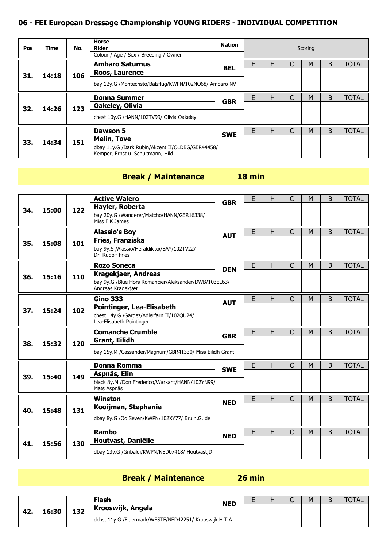#### **06 - FEI European Dressage Championship YOUNG RIDERS - INDIVIDUAL COMPETITION**

| Pos | Time  | No. | <b>Horse</b><br><b>Rider</b><br>Colour / Age / Sex / Breeding / Owner                  | <b>Nation</b> | Scoring |   |   |                                                  |   |              |
|-----|-------|-----|----------------------------------------------------------------------------------------|---------------|---------|---|---|--------------------------------------------------|---|--------------|
|     |       |     | <b>Ambaro Saturnus</b>                                                                 | <b>BEL</b>    | E       | н |   | M                                                | B | <b>TOTAL</b> |
| 31. | 14:18 | 106 | Roos, Laurence                                                                         |               |         |   |   | <b>TOTAL</b><br>B<br>M<br>B<br><b>TOTAL</b><br>M |   |              |
|     |       |     | bay 12y.G /Montecristo/Balzflug/KWPN/102NO68/ Ambaro NV                                |               |         |   |   |                                                  |   |              |
|     |       |     | <b>Donna Summer</b>                                                                    | <b>GBR</b>    | F       | н | C |                                                  |   |              |
| 32. | 14:26 | 123 | Oakeley, Olivia                                                                        |               |         |   |   |                                                  |   |              |
|     |       |     | chest 10y.G /HANN/102TV99/ Olivia Oakeley                                              |               |         |   |   |                                                  |   |              |
|     |       |     | <b>Dawson 5</b>                                                                        |               | F       | н | C |                                                  |   |              |
| 33. | 14:34 | 151 | <b>Melin, Tove</b>                                                                     | <b>SWE</b>    |         |   |   |                                                  |   |              |
|     |       |     | dbay 11y.G /Dark Rubin/Akzent II/OLDBG/GER44458/<br>Kemper, Ernst u. Schultmann, Hild. |               |         |   |   |                                                  |   |              |

## **Break / Maintenance 18 min**

|     |                |     | <b>Active Walero</b>                                                       | <b>GBR</b>                                   | E | Н | C | M                                                                                 | B                                                      | <b>TOTAL</b> |
|-----|----------------|-----|----------------------------------------------------------------------------|----------------------------------------------|---|---|---|-----------------------------------------------------------------------------------|--------------------------------------------------------|--------------|
| 34. |                | 122 | Hayler, Roberta                                                            |                                              |   |   |   |                                                                                   |                                                        |              |
|     | 15:00<br>15:08 |     | bay 20y.G /Wanderer/Matcho/HANN/GER16338/<br>Miss F K James                |                                              |   |   |   |                                                                                   |                                                        |              |
|     |                |     | <b>Alassio's Boy</b>                                                       |                                              | E | H | C | M                                                                                 | B                                                      | <b>TOTAL</b> |
| 35. |                | 101 | Fries, Franziska                                                           | <b>AUT</b>                                   |   |   |   | C<br>B<br>M                                                                       |                                                        |              |
|     |                |     | bay 9y.S /Alassio/Heraldik xx/BAY/102TV22/<br>Dr. Rudolf Fries             |                                              |   |   |   |                                                                                   | <b>TOTAL</b><br><b>TOTAL</b><br>B<br>B<br><b>TOTAL</b> |              |
|     |                |     | <b>Rozo Soneca</b>                                                         |                                              | E | H |   |                                                                                   |                                                        |              |
| 36. | 15:16          | 110 | <b>Kragekjaer, Andreas</b>                                                 | <b>DEN</b>                                   |   |   |   | $\mathsf{C}$<br>M<br>$\mathsf{C}$<br>M<br>$\overline{C}$<br>M<br>B<br>C<br>B<br>M |                                                        |              |
|     |                |     | bay 9y.G /Blue Hors Romancier/Aleksander/DWB/103EL63/<br>Andreas Kragekjær |                                              |   |   |   | M<br>B                                                                            |                                                        |              |
|     |                |     | <b>Gino 333</b>                                                            |                                              | E | H |   |                                                                                   |                                                        |              |
| 37. | 15:24          | 102 | <b>Pointinger, Lea-Elisabeth</b>                                           |                                              |   |   |   |                                                                                   |                                                        |              |
|     |                |     | chest 14y.G /Gardez/Adlerfarn II/102QU24/<br>Lea-Elisabeth Pointinger      |                                              |   |   |   |                                                                                   |                                                        |              |
|     |                |     |                                                                            |                                              |   |   |   |                                                                                   |                                                        |              |
|     |                |     | <b>Comanche Crumble</b>                                                    |                                              |   |   |   |                                                                                   |                                                        |              |
|     |                |     | Grant, Eilidh                                                              | <b>GBR</b>                                   |   |   |   |                                                                                   |                                                        |              |
| 38. | 15:32          | 120 | bay 15y.M /Cassander/Magnum/GBR41330/ Miss Eilidh Grant                    |                                              |   |   |   |                                                                                   |                                                        |              |
|     |                |     | <b>Donna Romma</b>                                                         |                                              | E | H |   |                                                                                   | <b>TOTAL</b>                                           |              |
|     |                |     | Aspnäs, Elin                                                               | <b>SWE</b>                                   |   |   |   |                                                                                   |                                                        |              |
| 39. | 15:40          | 149 | black 8y.M /Don Frederico/Warkant/HANN/102YN99/<br>Mats Aspnäs             |                                              |   |   |   |                                                                                   |                                                        |              |
|     |                |     | <b>Winston</b>                                                             | <b>AUT</b><br>E<br>H<br>E<br>H<br><b>NED</b> |   |   |   |                                                                                   | <b>TOTAL</b>                                           |              |
|     |                |     | Kooijman, Stephanie                                                        |                                              |   |   |   |                                                                                   |                                                        |              |
| 40. | 15:48          | 131 | dbay 8y.G /Oo Seven/KWPN/102XY77/ Bruin,G. de                              |                                              |   |   |   |                                                                                   |                                                        |              |
|     |                |     | <b>Rambo</b>                                                               |                                              | E | H | C |                                                                                   |                                                        | <b>TOTAL</b> |
| 41. | 15:56          | 130 | Houtvast, Daniëlle                                                         | <b>NED</b>                                   |   |   |   |                                                                                   |                                                        |              |

## **Break / Maintenance 26 min**

| 42. |       |       | <b>Flash</b>                                             | <b>NED</b> | - | н<br>. . | - | Μ |  |
|-----|-------|-------|----------------------------------------------------------|------------|---|----------|---|---|--|
|     |       | 1 2 7 | Krooswijk, Angela                                        |            |   |          |   |   |  |
|     | 16:30 | ⊥⊃∠   | dchst 11y.G /Fidermark/WESTF/NED42251/ Krooswijk, H.T.A. |            |   |          |   |   |  |